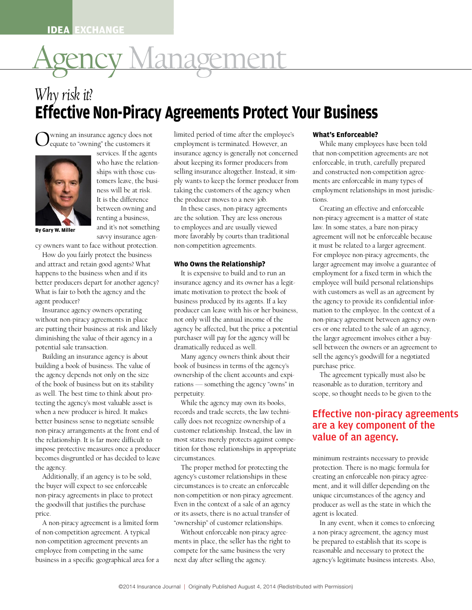# IDEA EXCHANGE<br>Agency Management<br>Why risk it? **IDEA EXCHANGE** AgencyManagement AgencyManagement

## *Why risk it?* **Effective Non-Piracy Agreements Protect Your Business**<br>O valuate to "owning" the customers it employment is terminated. However, an While many employees have been told NGE<br>Agency Management<br>Agency Agency of Putter Veur Business on-Piracy Agreements Protect Yo **ON-Piracy Agreements Protect Your Business**<br>
Exagency does not<br>
the customers it employment is terminated. However, an While many employees have been told *Why risk it? Why risk it?* **Effective Non-Piracy Agreements Protect Your Business Effective Non-Piracy Agreements Protect Your Business** IDEA EXCHANGE<br>
Why risk it?<br> **Effective Non-Pi**<br>
O equate to "owning" the custor<br>
Services. If the who have the Why risk it?<br> **Effective Non-Piracy Age**<br>
O equate to "owning" the customers it emp W My MSR *W*:<br> **Effective Non**<br>
O wning an insurance age<br>
O equate to "owning" the service **Effective Non-Piracy Agreemer**<br>
O wning an insurance agency does not<br>
o equate to "owning" the customers it<br>
services. If the agents<br>
who have the relation-<br>
ships with those cus-<br>
selling insurance agency is<br>
ships with **EXCHANGE**<br> **Effective Non-Piracy Agreements Protect Your Business**<br> **Effective Non-Piracy Agreements Protect Your Business**<br>
Overlage an insurance agency does not limited period of time after the employee's **What's Enforc**

Owning an insurance agency does not<br>
equate to "owning" the customers it<br>
equate to "owning" the customers it wning an insurance agency does not



services. If the agents services. If the agents who have the relation-who have the relationships with those cus-ships with those customers leave, the busi-tomers leave, the business will be at risk. ness will be at risk. It is the difference It is the difference between owning and between owning and renting a business, renting a business, and it's not something and it's not something savvy insurance agen-savvy insurance agen-O wning an insurance agency does not<br>
list equate to "owning" the customers it<br>
services. If the agents<br>
in who have the relation-<br>
ships with those cus-<br>
tomers leave, the busi-<br>
ness will be at risk. equate to "owning" the customers<br>
services. If the age<br>
who have the rela<br>
ships with those<br>
tomers leave, the<br>
ness will be at ris<br>
It is the difference<br>
between owning

**By Gary W. Miller By Gary W. Miller**

cy owners want to face without protection. cy owners want to face without protection.

rect the business<br>
business<br>
business, What **Who Owns the Relationship?** How do you fairly protect the business How do you fairly protect the business and attract and retain good agents? What and attract and retain good agents? What happens to the business when and if its happens to the business when and if its better producers depart for another agency? better producers depart for another agency? What is fair to both the agency and the What is fair to both the agency and the agent producer? agent producer? By Gary W. Miller<br>
cy owners want to face<br>
How do you fairly p<br>
and attract and retain<br>
happens to the busine<br>
better producers depa<br>
What is fair to both th savvy insurance agency<br>
cy owners want to face without protection.<br>
How do you fairly protect the business<br>
and attract and retain good agents? What<br>
happens to the business when and if its<br>
better producers depart for ano cy owners want to face<br>How do you fairly pi<br>and attract and retain  $\beta$ <br>happens to the busines<br>better producers depar<br>What is fair to both the<br>agent producer?<br>Insurance agency ow How do you fairly protec<br>and attract and retain good<br>happens to the business wh<br>better producers depart for<br>What is fair to both the age<br>agent producer?<br>Insurance agency owners<br>without non-piracy agreem and attract and retain good agents? What<br>
happens to the business when and if its<br>
better producers depart for another agency?<br>
What is fair to both the agency and the<br>
agent producer?<br>
Insurance agency owners operating<br>
w

without non-piracy agreements in place<br>are putting their business at risk and likely<br>diminishing the value of their agency in a<br>purchaser will nav for the agency will be diminishing the value of their agency in a<br>potential sale transaction. The agency of the agency state of the agency of the agency will<br>potential sale transaction. The dramatically reduced as well.<br>Many agency owners think Insurance agency owners operating Insurance agency owners operating without non-piracy agreements in place without non-piracy agreements in place are putting their business at risk and likely are putting their business at risk and likely diminishing the value of their agency in a diminishing the value of their agency in a potential sale transaction. potential sale transaction. happens to tl<br>better produ<br>What is fair t<br>agent produc<br>Insurance<br>without non-<br>are putting t<br>diminishing better producers depart for another agency? Insurance agency<br>
What is fair to both the agency and the imate motivation<br>
agent producer?<br>
Insurance agency owners operating business producer can leav<br>
without non-piracy agre What is fair to both the agency and tl<br>agent producer?<br>Insurance agency owners operating<br>without non-piracy agreements in pla<br>are putting their business at risk and<br>diminishing the value of their agency<br>potential sale tran Insurance agency owners operating<br>without non-piracy agreements in pla<br>are putting their business at risk and<br>diminishing the value of their agency<br>potential sale transaction.<br>Building an insurance agency is aboulding a bo

pote<br>B<br>buil building a book of business. The value of<br>the agency depends not only on the size<br>of the book of business but on its stability<br>rations — something the agency. the agency depends not only on the size ownership of the client accounts and exp<br>of the book of business but on its stability rations — something the agency "owns" i<br>as well. The best time to think about propertuity. of the book of business but on its stability rations — something the agency "owns" in reasured as well. The best time to think about propertuity.<br>
tecting the agency's most valuable asset is While the agency may own its bo as well. The best thile to think about property.<br>
tecting the agency's most valuable asset is while the agency may own its books,<br>
when a new producer is hired. It makes<br>
records and trade secrets, the law technipotential sale transaction. Better business sense to negotiate sensible<br>better business sense to negotiate sensible<br>population into a strangement of the front and a better business sense to negotiate sensible cally does not recognize ownership of a<br>non-piracy arrangements at the front end of customer relationship. Instead, the law in<br>the relationship. It is far more difficult to most hoop-piracy arrangements at the front end of customer relationship. Instead, the law in the relationship. It is far more difficult to most states merely protects against compe-<br>impose protective measures once a producer ti the relationship. It is far more difficult to most states merely protects against compe-<br>impose protective measures once a producer<br>becomes disgruntled or has decided to leave circumstances. mpose processes disgruntled or has decided to leave<br>becomes disgruntled or has decided to leave<br>the agency.<br> $\frac{1}{2}$  The proper method for protecting the Building an insurance agency is about Building an insurance agency is about building a book of business. The value of building a book of business. The value of the agency depends not only on the size the agency depends not only on the size of the book of business but on its stability of the book of business but on its stability as well. The best time to think about pro-as well. The best time to think about protecting the agency's most valuable asset is tecting the agency's most valuable asset is when a new producer is hired. It makes when a new producer is hired. It makes non-piracy arrangements at the front end of non-piracy arrangements at the front end of the relationship. It is far more difficult to the relationship. It is far more difficult to impose protective measures once a producer impose protective measures once a producer becomes disgruntled or has decided to leave becomes disgruntled or has decided to leave the agency. the agency. without non-piracy agreements in<br>are putting their business at risk a<br>diminishing the value of their ager<br>potential sale transaction.<br>Building an insurance agency is<br>building a book of business. The v<br>the agency depends no are putting their business at risk and likely<br>diminishing the value of their agency in a<br>potential sale transaction.<br>Building an insurance agency is about<br>building a book of business. The value of<br>the agency depends not on diminishing the value of their agency in a<br>potential sale transaction. The dramation of the Building an insurance agency is about the book of business. The value of<br>the agency depends not only on the size<br>of the book of bu Building an insuran<br>building a book of bus<br>the agency depends no<br>of the book of busines<br>as well. The best time<br>tecting the agency's m<br>when a new producer<br>better business sense 1 building a book of business. The v.<br>the agency depends not only on th<br>of the book of business but on its s<br>as well. The best time to think abe<br>tecting the agency's most valuable<br>when a new producer is hired. It n<br>better bu the agency depends not of the book of business<br>as well. The best time<br>tecting the agency's m<br>when a new producer<br>better business sense t<br>non-piracy arrangement<br>the relationship. It is f of the book of business but on its stability<br>as well. The best time to think about pro-<br>tecting the agency's most valuable asset is<br>when a new producer is hired. It makes<br>better business sense to negotiate sensible<br>non-pir as well. The best time to think about pro-<br>tecting the agency's most valuable asset is<br>when a new producer is hired. It makes<br>better business sense to negotiate sensible<br>non-piracy arrangements at the front end of<br>the rela tecting the agency's most valuable asset is<br>while the<br>when a new producer is hired. It makes<br>better business sense to negotiate sensible<br>non-piracy arrangements at the front end of<br>the relationship. It is far more difficul better business sense to negotia<br>non-piracy arrangements at the<br>the relationship. It is far more d<br>impose protective measures onc<br>becomes disgruntled or has dec<br>the agency.<br>Additionally, if an agency is t<br>the buyer will ex non-piracy arrangements at<br>the relationship. It is far mo<br>impose protective measures<br>becomes disgruntled or has<br>the agency.<br>Additionally, if an agency<br>the buyer will expect to see<br>non-piracy agreements in p

Additionally, if an agency is to be sold, agency's customer relationships in these<br>the buyer will expect to see enforceable circumstances is to create an enforceable<br>non-piracy agreements in place to protect non-competitio the buyer will expect to see enforceable<br>non-piracy agreements in place to protect<br>the goodwill that justifies the purchase<br>Even in the context of a sale of an agency Additionally, if an agency is to be sold, Additionally, if an agency is to be sold, the buyer will expect to see enforceable the buyer will expect to see enforceable non-piracy agreements in place to protect non-piracy agreements in place to protect the goodwill that justifies the purchase the goodwill that justifies the purchase price. price. the relationship. It is far more diff<br>impose protective measures once a<br>becomes disgruntled or has decide<br>the agency.<br>Additionally, if an agency is to b<br>the buyer will expect to see enforc<br>non-piracy agreements in place to impose protective measures once a producer<br>becomes disgruntled or has decided to leave<br>the agency.<br>Additionally, if an agency is to be sold,<br>the buyer will expect to see enforceable<br>non-piracy agreements in place to protec becomes disgruntled or has decided to<br>the agency.<br>Additionally, if an agency is to be sol<br>the buyer will expect to see enforceable<br>non-piracy agreements in place to prot<br>the goodwill that justifies the purchase<br>price.<br>A no the agency.<br>Additionally, if an agency is to be s<br>the buyer will expect to see enforceal<br>non-piracy agreements in place to pro<br>the goodwill that justifies the purcha<br>price.<br>A non-piracy agreement is a limite<br>of non-competi Additional<br>the buyer wil<br>non-piracy ag<br>the goodwill<br>price.<br>A non-pirac<br>of non-competition

A non-piracy agreement is a limited form "ownership" of customer relationships.<br>
of non-competition agreement. A typical Without enforceable non-piracy agree-<br>
non-competition agreement prevents an ments in place, the sell of non-competition agreement. A typical without enforceable non-piracy agree a non-p<br>non-competition agreement prevents an ments in place, the seller has the right to be prep<br>employee from competing in the same compete for be prepared on-competition agreement prevents and<br>
employee from competing in the same<br>
business in a specific geographical area for a<br>
pusiness the very<br>
next day after selling the agency.<br>
agency' business in a specific geographical area for a mext day after see business in a specific geographical area for a A non-piracy agreement is a limited form A non-piracy agreement is a limited form of non-competition agreement. A typical of non-competition agreement. A typical non-competition agreement prevents an non-competition agreement prevents an employee from competing in the same employee from competing in the same 34 non-competition agreement prevents an ments in place, the seller has the right to example for competer for the same business the very ensures in a specific geographical area for a next day after selling the agency.<br>Susi non-piracy agreements in place to prote<br>the goodwill that justifies the purchase<br>price.<br>A non-piracy agreement is a limited<br>of non-competition agreement. A typica<br>non-competition agreement prevents at<br>employee from competi the buyer will expect to<br>non-piracy agreements i<br>the goodwill that justific<br>price.<br>A non-piracy agreeme<br>of non-competition agreem<br>non-competition agreem<br>employee from competi the goodwill that jus<br>price.<br>A non-piracy agree<br>of non-competition a<br>non-competition agree<br>employee from comp<br>business in a specific

Owning an insurance agency does not<br>
equate to "owning" the customers it<br>
services. If the agents<br>
insurance agency is generally not concerned<br>
who have the relation-<br>
ships with those cus-<br>
ships with those cus-<br>
tomers l who have the relation about keeping its former producers from<br>ships with those customers leave the business in the customers is always to keep the former producer from ps with those cus-<br>
ply wants to keep the former producer from and<br>
service at risk. taking the customers of the agency when and<br>
taking the customers of the agency when and ers leave, the busi-<br>
s will be at risk.<br>
taking the customers of the agency when emp<br>
s the difference the producer moves to a new job. tions s with be at risk.<br>
In these cases, non-piracy agreements to a new job.<br>
In these cases, non-piracy agreements Example a agency does not<br>the customers it amployment is terminated. However, an insurance agency is generally not concerned<br>on have the relation-<br>ps with those cus-<br>ps with those cus-<br>ply wants to keep the former producer about keeping its former producers from<br>
enforceable, in truth, carefully prepared<br>
selling insurance altogether. Instead, it sim-<br>
in constructed non-competition agree-<br>
in wants to keep the former producer from limited period of time after the employee's employment is terminated. However, an employment is terminated. However, an insurance agency is generally not concerned insurance agency is generally not concerned about keeping its former producers from about keeping its former producers from selling insurance altogether. Instead, it sim-selling insurance altogether. Instead, it simtaking the customers of the agency when taking the customers of the agency when the producer moves to a new job. the producer moves to a new job. **O** wning an insurance agency does not<br>
services. If the agents<br>
services. If the agents<br>
who have the relation-<br>
ships with those cus-<br>
tomers leave, the busi-<br>
tomers leave, the busi-<br>
It is the difference<br>
the producer mited<br>mployr<br>surano<br>liling i<br>ly wan<br>king t limited period of time after the employee's

ween owning and<br>ting a business, are the solution. They are less onerous<br>ting a business, are the solution. They are less onerous<br>ting a business, ting a business, are the solution. They are less onerous<br>
it's not something to employees and are usually viewed<br>
we insurance agen It it's not something to employees and are usually viewed<br>wy insurance agen-<br>more favorably by courts than traditional<br>ithout protection. non-competition agreements. between two more tavorably by courts than traditional and<br>ithout protection. In an amompetition agreements. It is<br>ect the business Fo to employees and are usually viewed to employees and are usually viewed more favorably by courts than traditional more favorably by courts than traditional non-competition agreements. non-competition agreements.

od agents? What **Who Owns the Relationship?** larger a<br>
When and if its It is expensive to build and to run an employ<br>
for another agency and its owner has a legite employ when and if its It is expensive to build and to run an error another agency? Insurance agency and its owner has a legitered version and the imate motivation to protect the book of w better producers depart for another agency? insurance agency and its owner has a legit-<br>What is fair to both the agency and the imate motivation to protect the book of with<br>agent producer? business produced by its agents. What is fair to both the agency and the<br>agent producer?<br>husiness produced by its agents. If a key<br>Insurance agency owners operating<br>producer can leave with his or her business, Frames Frames 2, and producer and retain at the retail of the multiple producer can leave with his or her business,<br>without non-piracy agreements in place<br>are nutting their hysiness at risk and likely are putting their business at risk and likely agency be affected, but the price a potential are or diminishing the value of their agency in a purchaser will pay for the agency will be the la potential sale transaction. for another agency? insurance agency and its owner has a legit-<br>largency and the imate motivation to protect the book of business produced by its agents. If a key the agency to provide its confidential infor-How the customers as well as an agreement by<br>business produced by its agents. If a key<br>producer can leave with his or her business,<br>mation to the employee. In the context of a ers operating<br>
and the producer can leave with his or her business,<br>
and the employee. In the context of a<br>
non-piracy agreement between agency own-<br>
and likely happen sements in place and income of the business when the business when a sency own-<br>agency be affected, but the price a potential and income related to the sale of an agency,<br>their agency in a purchaser will pay for the insurance agency and its owner has a legit-insurance agency and its owner has a legitimate motivation to protect the book of imate motivation to protect the book of business produced by its agents. If a key business produced by its agents. If a key producer can leave with his or her business, producer can leave with his or her business, not only will the annual income of the not only will the annual income of the agency be affected, but the price a potential agency be affected, but the price a potential purchaser will pay for the agency will be purchaser will pay for the agency will be dramatically reduced as well. dramatically reduced as well.

agency is about Many agency owners think<br>ess. The value of book of business in terms of the value of book of business in terms of the agency's purchase price.<br>
The agreement typically must also be<br>  $\frac{1}{100}$  articles to duration territory and own the size ownership of the client accounts and expirations — something the agency "owns" in think about pro-<br>think about pro-<br>think about pro-<br>think about probut on its stability rations — something the agency "owns" in reasonable as to duration, territory and perpetuity.<br>
think about propertuity.<br>
the valuable asset is While the agency may own its books, Many agency owners think about their Many agency owners think about their book of business in terms of the agency's book of business in terms of the agency's ownership of the client accounts and expi-ownership of the client accounts and expirations — something the agency "owns" in rations — something the agency "owns" in perpetuity. perpetuity.

Effective non-piracy agreements<br>
traduable asset is while the agency may own its books,<br>
hired. It makes records and trade secrets, the law techni-<br> **Effective non-piracy agreements** Fraction. It makes<br>
negotiate sensible cally does not recognize ownership of a **Effective no** but at the front end of customer relationship. Instead, the law in<br>more difficult to most states merely protects against compe-<br>res once a producer tition for those relationships in appropriate more difficult to most states merely protects against compe-<br>tres once a producer tition for those relationships in appropriate<br>has decided to leave circumstances. While the agency may own its books, While the agency may own its books, records and trade secrets, the law techni-records and trade secrets, the law technicustomer relationship. Instead, the law in customer relationship. Instead, the law in most states merely protects against compe-most states merely protects against competition for those relationships in appropriate tition for those relationships in appropriate circumstances. circumstances.

the agency.<br>
Additionally, if an agency is to be sold,<br>
the buyer will expect to see enforceable<br>
the buyer will expect to see enforceable<br>
circumstances is to create an enforceable better business in place to protect<br>the goodwill that justifies the purchase<br>price. The sense or its assets, there is no actual transfer of<br>the sensible series or its assets, there is no actual transfer of price. The form of the front end of the front end of the front end of the front end of the front end of the front end of the front end of the front end of the front end of the front end of the front end of the front end of the agency's customer relationships in these the creating an enforceable non-piracy agree-<br>see enforceable circumstances is to create an enforceable ment, and it will differ depending on the<br>the pagency and piracy agreemen see enforceable circumstances is to create an enforceable ment, and it will differ depending on the<br>
1 place to protect non-competition or non-piracy agreement. unique circumstances of the agency and<br>
s the purchase Even i better business sense to protect<br>seem in the context of a sale of an agency<br>or its assets, there is no actual transfer of agent is located. or its assets, there is no actual transfer of agent is located.<br>
agent is located.<br>
and the front end of the front end of the front end of the front end of the front end of the front end of the front end of the front end o The proper method for protecting the The proper method for protecting the agency's customer relationships in these agency's customer relationships in these circumstances is to create an enforceable circumstances is to create an enforceable non-competition or non-piracy agreement. non-competition or non-piracy agreement. Even in the context of a sale of an agency Even in the context of a sale of an agency or its assets, there is no actual transfer of or its assets, there is no actual transfer of "ownership" of customer relationships. "ownership" of customer relationships.

 ments in place, the seller has the right to  ments in place, the seller has the right to Without enforceable non-piracy agree-Without enforceable non-piracy agreecompete for the same business the very compete for the same business the very next day after selling the agency. next day after selling the agency.

#### **What's Enforceable? What's Enforceable?**

limited periods<br>determined after the after the employees are not<br>arefully prepared exercilly prepared.<br>
empetition agree-<br>
in many types of ompetition agreem<br>in many types of<br>nips in most iurisdic in many types of<br>nips in most jurisdicnps in most jurisaic-<br>e and enforceable and constructed non-competition agree-<br>ments are enforceable in many types of<br>employment relationships in most iurisdicents are enforceable in many types of<br>nployment relationships in most jurisdic-<br>ons. mpioyment relationships in most jurisdic-<br>
Creating an effective and enforceable<br>
Creating an effective and enforceable While many employees have been told While many employees have been told that non-competition agreements are not that non-competition agreements are not enforceable, in truth, carefully prepared enforceable, in truth, carefully prepared ments are enforceable in many types of ments are enforceable in many types of employment relationships in most jurisdic-employment relationships in most jurisdictions. tions. **Less**<br> **Where**<br> **What's Englisheries**<br> **What's Englisheries**<br> **What's are not**<br> **What's are not** While many employees have been told **eable?**<br>employees have been told<br>tition agreements are not<br>ruth, carefully prepared<br>1 non-competition agree-**CSS**<br>eable?<br>employees have been told<br>tition agreements are not<br>ruth, carefully prepared<br>non-competition agree-<br>ceable in many types of **eable?**<br>employees have been told<br>tition agreements are not<br>ruth, carefully prepared<br>d non-competition agree-<br>ceable in many types of<br>lationships in most jurisdic**eable?**<br>employees have been told<br>tition agreements are not<br>ruth, carefully prepared<br>an non-competition agree-<br>ceable in many types of<br>ationships in most jurisdicemployees have been told<br>tition agreements are not<br>ruth, carefully prepared<br>a non-competition agree-<br>ceable in many types of<br>lationships in most jurisdic-<br>effective and enforceable tition agreements are not<br>ruth, carefully prepared<br>1 non-competition agree-<br>ceable in many types of<br>lationships in most jurisdic-<br>effective and enforceable<br>ement is a matter of state Creation and enforceable<br>
in the set of the set of the set of the set of the set of the set of the set of the set of the set of the set of the set of the set of the set of the set of the set of the set of the set of the se

ply and enforceable<br>is a matter of state is a matter of state<br>pare non-piracy<br>enforceable because pare non-piracy<br>enforceable because<br>larger agreement. ble because<br>greement.<br>ments, the rarger agreements, the<br>involve a guarantee of  $\frac{1}{1}$  term in which the d term in which the<br>ersonal relationships<br>l as an agreement by rsonal relationships<br>l as an agreement by<br>its confidential infor-**EXECUTE AND SECURE ASSESS**<br> **Where BET ASSESS**<br> **WHO OWNS THE RELATIONS** agency own-<br>an agency,<br>ither a buyie sale of an agency,<br>nvolves either a buy-<br>rs or an agreement to ivolves either a buy-<br>rs or an agreement to<br>vill for a negotiated  $b$  is or an agreement to its and agreement to Creating an effective and enforceable<br>on-piracy agreement is a matter of state non-piracy agreement is a matter of state<br>law. In some states, a bare non-piracy<br>agreement will not be enforceable because w. In some states, a bare non-piracy<br>reement will not be enforceable because<br>must be related to a larger agreement. reement will not be enforceable because<br>must be related to a larger agreement.<br>r employee non-piracy agreements, the remployee non-piracy agreements, the<br>rent agreement may involve a guarantee of Figure a guarantee of<br>polyment for a fixed term in which the<br>polyment some some relationships employment for a fixed term in which the<br>employee will build personal relationships<br>with customers as well as an agreement by % s at risk and likely agency be affected, but the price a potential ers or one related to the sale of an agency,<br>their agency in a purchaser will pay for the agency will be the larger agreement involves either a buy-<br>anot the arger agreement involves either a buy-<br>he arger agreement involves either a buy-<br>dramatically reduced as well.<br>agency is about Many agency owners think about their sell the agency's goodwill for a negotiated law. In some states, a bare non-piracy law. In some states, a bare non-piracy agreement will not be enforceable because agreement will not be enforceable because it must be related to a larger agreement. it must be related to a larger agreement. For employee non-piracy agreements, the For employee non-piracy agreements, the larger agreement may involve a guarantee of larger agreement may involve a guarantee of employee will build personal relationships employee will build personal relationships with customers as well as an agreement by with customers as well as an agreement by the agency to provide its confidential infor-the agency to provide its confidential information to the employee. In the context of a mation to the employee. In the context of a non-piracy agreement between agency own-non-piracy agreement between agency owners or one related to the sale of an agency, ers or one related to the sale of an agency, the larger agreement involves either a buy-the larger agreement involves either a buysell between the owners or an agreement to sell between the owners or an agreement to sell the agency's goodwill for a negotiated sell the agency's goodwill for a negotiated purchase price. purchase price. 1 non-competition agree-<br>ceable in many types of<br>ationships in most jurisdic-<br>effective and enforceable<br>ement is a matter of state<br>ttes, a bare non-piracy<br>not be enforceable because ceable in many types of<br>lationships in most jurisdic-<br>ffective and enforceable<br>ement is a matter of state<br>tes, a bare non-piracy<br>not be enforceable because<br>ed to a larger agreement. dationships in most jurisdic-<br>effective and enforceable<br>ement is a matter of state<br>ttes, a bare non-piracy<br>not be enforceable because<br>ed to a larger agreement.<br>on-piracy agreements, the ffective and enforceable<br>ement is a matter of state<br>ttes, a bare non-piracy<br>not be enforceable because<br>ed to a larger agreement.<br>on-piracy agreements, the<br>tt may involve a guarantee of ffective and enforceable<br>ement is a matter of state<br>ttes, a bare non-piracy<br>not be enforceable because<br>ed to a larger agreement.<br>on-piracy agreements, the<br>t may involve a guarantee of<br>c a fixed term in which the ement is a matter of state<br>tes, a bare non-piracy<br>not be enforceable because<br>ed to a larger agreement.<br>on-piracy agreements, the<br>t may involve a guarantee of<br>c a fixed term in which the<br>wuild personal relationships tes, a bare non-piracy<br>not be enforceable because<br>ed to a larger agreement.<br>on-piracy agreements, the<br>t may involve a guarantee of<br>c a fixed term in which the<br>wild personal relationships<br>as well as an agreement by not be enforceable because<br>ed to a larger agreement.<br>on-piracy agreements, the<br>it may involve a guarantee of<br>ca fixed term in which the<br>puild personal relationships<br>as well as an agreement by<br>provide its confidential infor ed to a larger agreement.<br>
on-piracy agreements, the<br>
it may involve a guarantee of<br>
c a fixed term in which the<br>
suild personal relationships<br>
as well as an agreement by<br>
rovide its confidential infor-<br>
mployee. In the co on-piracy agreements, the<br>t may involve a guarantee of<br>c a fixed term in which the<br>wild personal relationships<br>as well as an agreement by<br>rovide its confidential infor-<br>mployee. In the context of a<br>ement between agency own the may involve a guarantee of<br>c a fixed term in which the<br>wild personal relationships<br>as well as an agreement by<br>rovide its confidential infor-<br>mployee. In the context of a<br>ement between agency own-<br>ed to the sale of an a refixed term in which the<br>puild personal relationships<br>as well as an agreement by<br>rovide its confidential infor-<br>mployee. In the context of a<br>ement between agency own-<br>d to the sale of an agency,<br>ment involves either a buy positional relationships<br>as well as an agreement by<br>rovide its confidential infor-<br>mployee. In the context of a<br>ement between agency own-<br>ed to the sale of an agency,<br>ment involves either a buy-<br>e owners or an agreement to as well as an agreement by<br>rovide its confidential infor-<br>mployee. In the context of a<br>ement between agency own-<br>ed to the sale of an agency,<br>ment involves either a buy-<br>e owners or an agreement to<br>s goodwill for a negotia rovide its confidential inform<br>ployee. In the context of a<br>ement between agency own-<br>ed to the sale of an agency,<br>ment involves either a buy-<br>e owners or an agreement to<br>goodwill for a negotiated mployee. In the context of a<br>ement between agency own-<br>d to the sale of an agency,<br>ment involves either a buy-<br>e owners or an agreement to<br>s goodwill for a negotiated<br>nt typically must also be ement between agency own-<br>ed to the sale of an agency,<br>ment involves either a buy-<br>e owners or an agreement to<br>s goodwill for a negotiated<br>nt typically must also be<br>duration, territory and y,<br>y-<br>t to<br>d ment involves either a buy-<br>e owners or an agreement to<br>s goodwill for a negotiated<br>nt typically must also be<br>duration, territory and<br>ht needs to be given to the e owners or an agreement to<br>s goodwill for a negotiated<br>nt typically must also be<br>duration, territory and<br>ht needs to be given to the<br>**1011-DITACV Agreements** 

produced using the cally must also be<br>near territory and cally must also be<br>on, territory and<br>ls to be given to the on, territory and<br>ls to be given to the The agreement typically must also be The agreement typically must also be reasonable as to duration, territory and reasonable as to duration, territory and scope, so thought needs to be given to the scope, so thought needs to be given to the

### is to be given to the<br>**piracy agreements** piracy agreements<br>ponent of the *Maged and the*<br>the bonent of the agency. Example and the cally does not recognize ownership of a<br>
cont end of the customer relationship. Instead, the law in  $\overline{are}$  a key component of the most states merely protects against compe-<br>
Figult to most states merely value of an agency. value of an agency.**non-piracy agreements<br>component of the<br>n agency.**<br>ints necessary to provide<br>re is no magic formula for<br>precable non-piracy agreethe owners or an agreement to<br>
the oxycodial for a negotiated<br>
the conduction, territory and<br>
ght needs to be given to the<br> **non-piracy agreements**<br> **component of the<br>
an agency.** *s* goodwill for a negotiated<br>
ent typically must also be<br>
co duration, territory and<br>
ght needs to be given to the<br> **non-piracy agreements**<br> **component of the<br>
an agency.**<br>
raints necessary to provide

ownership to the client accounts accounts and experience accounts and expression and expression and expression  $\mathbf{r}$ recessary to provide<br>o magic formula for protection. There is no magic formula for<br>creating an enforceable non-piracy agree-<br>ment, and it will differ depending on the acy agree-<br>ing on the<br>ency and r depending on the<br>of the agency and<br>e state in which the  $\epsilon$  state in which the has decided to leave circumstances.<br>The proper method for protecting the minimum restraints necessary to provide<br>the proper method for protecting the protection. There is no magic formula for The proper method for protecting the protection. There is no magic formula for<br>ncy is to be sold, agency's customer relationships in these creating an enforceable non-piracy agree-<br>see enforceable circumstances is to creat minimum restraints necessary to provide minimum restraints necessary to provide protection. There is no magic formula for protection. There is no magic formula for ment, and it will differ depending on the ment, and it will differ depending on the unique circumstances of the agency and unique circumstances of the agency and producer as well as the state in which the producer as well as the state in which the agent is located. agent is located. **component of the**<br> **n agency.**<br>
suints necessary to provide<br>
re is no magic formula for<br>
proceable non-piracy agree-<br>
Il differ depending on the **n agency.**<br>**n agency.**<br>tints necessary to provide<br>re is no magic formula for<br>precable non-piracy agree-<br>Il differ depending on the<br>tances of the agency and **EXECUS:**<br>
suints necessary to provide<br>
re is no magic formula for<br>
precable non-piracy agree-<br>
Il differ depending on the<br>
tances of the agency and<br>
Il as the state in which the units necessary to provide<br>re is no magic formula for<br>precable non-piracy agree-<br>Il differ depending on the<br>tances of the agency and<br>Il as the state in which the ints necessary to provide<br>re is no magic formula for<br>proceable non-piracy agree-<br>Il differ depending on the<br>tances of the agency and<br>Il as the state in which the<br>when it comes to enforcing re is no magic formula for<br>precable non-piracy agree-<br>Il differ depending on the<br>tances of the agency and<br>Il as the state in which the<br>when it comes to enforcing<br>reement, the agency must ement involves either a buy-<br>he owners or an agreement to<br>'s goodwill for a negotiated<br>...<br>ent typically must also be<br>o duration, territory and<br>ght needs to be given to the<br>**non-piracy agreements**<br>**component of the<br>an agen** 

customer relationship. It comes to enforcing. it comes to enforcing<br>t, the agency must<br>th that its scope is t, the agency must<br>ih that its scope is<br>iry to protect the be prepared to establish that its scope is<br>reasonable and necessary to protect the<br>agency's legitimate business interests. Also, The property method for property the property of property of property  $\mathcal{A}$  and  $\mathcal{A}$  are protections. the relationships in any event, when it comes to enforcing<br>the relationships. In any event, when it comes to enforcing<br>the relationships a non-piracy agreement, the agency must<br>ent prevents an ments in place, the seller ha ment. A typical without enforceable non-piracy agreement and on-piracy agreement, the agency must<br>ent prevents an ments in place, the seller has the right to be prepared to establish that its scope is<br>g in the same compete be prepared to establish that its scope is<br>g in the same<br>graphical area for a next day after selling the agency. and agency's legitimate business interests. Also, In any event, when it comes to enforcing In any event, when it comes to enforcing a non-piracy agreement, the agency must a non-piracy agreement, the agency must be prepared to establish that its scope is be prepared to establish that its scope is reasonable and necessary to protect the reasonable and necessary to protect the In any event, when it comes<br>In any event, when it comes to enforce<br>It comes to enforce the comes to enforce the comes to enforce the comes to enforce the composite the composite<br>It is contributed by the composite the compo Il differ depending on the<br>tances of the agency and<br>Il as the state in which the<br>when it comes to enforcing<br>reement, the agency must<br>establish that its scope is<br>necessary to protect the tances of the agency and<br>ll as the state in which the<br>when it comes to enforcing<br>reement, the agency must<br>establish that its scope is<br>necessary to protect the<br>ate business interests. Also, Il as the state in which the<br>reasonable and necessary to enforcing<br>reasonant, the agency must<br>establish that its scope is<br>necessary to protect the<br>ate business interests. Also, when it comes to enforcing<br>reement, the agency must<br>establish that its scope is<br>necessary to protect the<br>ate business interests. Also,